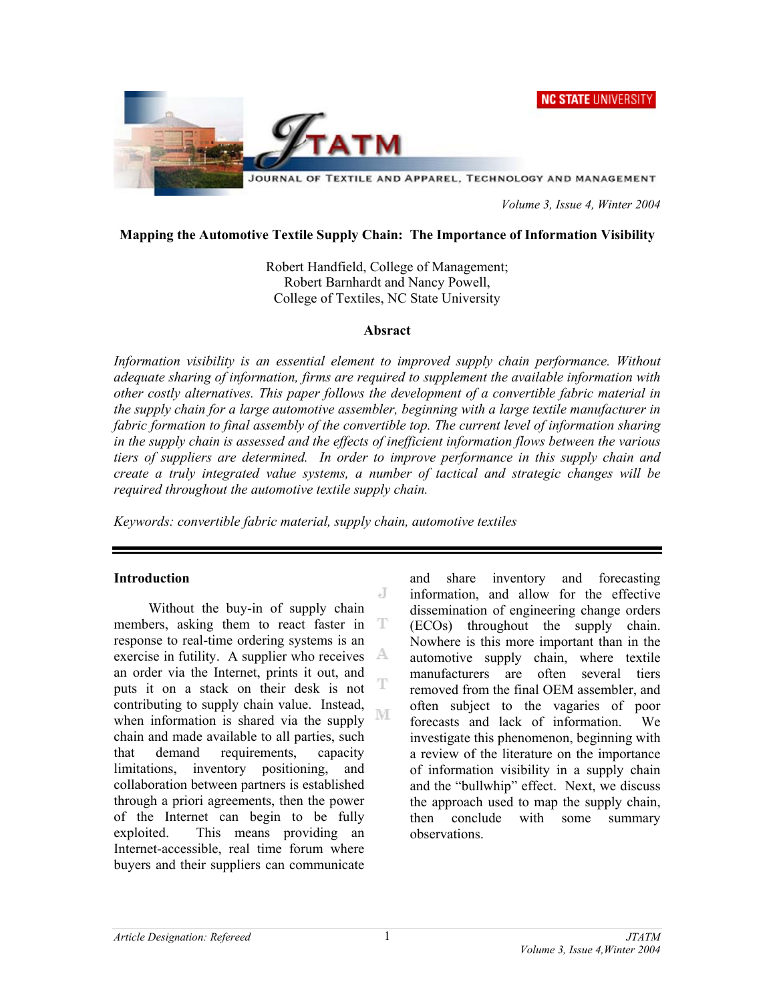



JOURNAL OF TEXTILE AND APPAREL, TECHNOLOGY AND MANAGEMENT

 *Volume 3, Issue 4, Winter 2004* 

## **Mapping the Automotive Textile Supply Chain: The Importance of Information Visibility**

Robert Handfield, College of Management; Robert Barnhardt and Nancy Powell, College of Textiles, NC State University

#### **Absract**

*Information visibility is an essential element to improved supply chain performance. Without adequate sharing of information, firms are required to supplement the available information with other costly alternatives. This paper follows the development of a convertible fabric material in the supply chain for a large automotive assembler, beginning with a large textile manufacturer in fabric formation to final assembly of the convertible top. The current level of information sharing in the supply chain is assessed and the effects of inefficient information flows between the various tiers of suppliers are determined. In order to improve performance in this supply chain and create a truly integrated value systems, a number of tactical and strategic changes will be required throughout the automotive textile supply chain.* 

J

*Keywords: convertible fabric material, supply chain, automotive textiles* 

# **Introduction**

Without the buy-in of supply chain members, asking them to react faster in T response to real-time ordering systems is an exercise in futility. A supplier who receives A an order via the Internet, prints it out, and T puts it on a stack on their desk is not contributing to supply chain value. Instead, М when information is shared via the supply chain and made available to all parties, such that demand requirements, capacity limitations, inventory positioning, and collaboration between partners is established through a priori agreements, then the power of the Internet can begin to be fully exploited. This means providing an Internet-accessible, real time forum where buyers and their suppliers can communicate

and share inventory and forecasting information, and allow for the effective dissemination of engineering change orders (ECOs) throughout the supply chain. Nowhere is this more important than in the automotive supply chain, where textile manufacturers are often several tiers removed from the final OEM assembler, and often subject to the vagaries of poor forecasts and lack of information. We investigate this phenomenon, beginning with a review of the literature on the importance of information visibility in a supply chain and the "bullwhip" effect. Next, we discuss the approach used to map the supply chain, then conclude with some summary observations.

1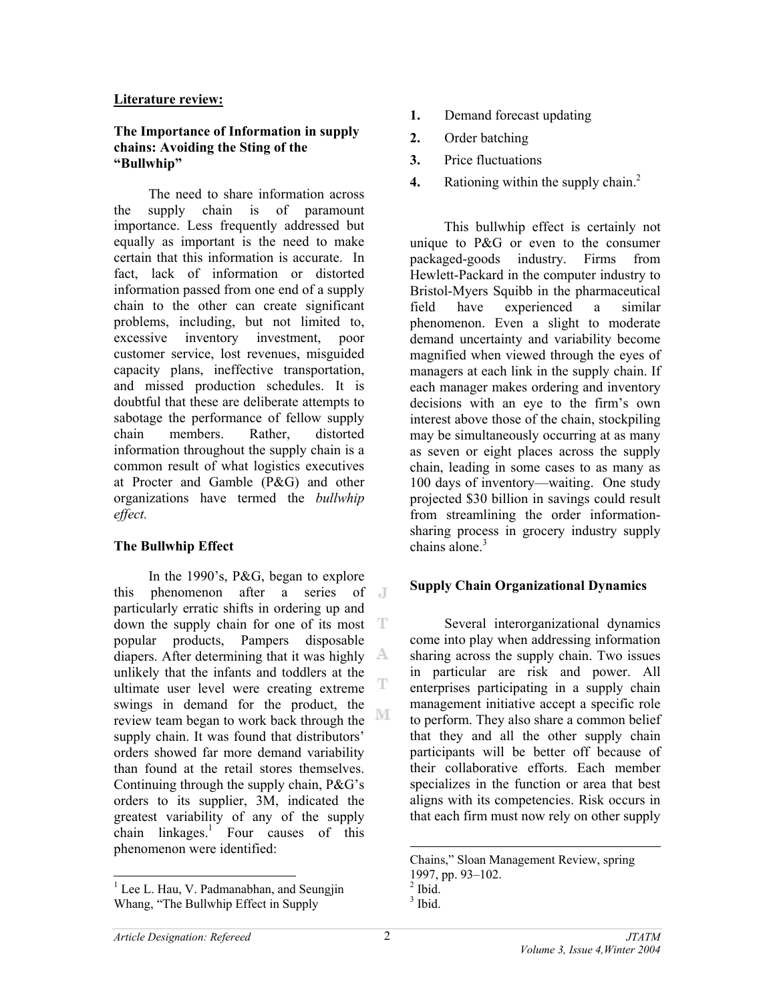## **Literature review:**

## **The Importance of Information in supply chains: Avoiding the Sting of the "Bullwhip"**

The need to share information across the supply chain is of paramount importance. Less frequently addressed but equally as important is the need to make certain that this information is accurate. In fact, lack of information or distorted information passed from one end of a supply chain to the other can create significant problems, including, but not limited to, excessive inventory investment, poor customer service, lost revenues, misguided capacity plans, ineffective transportation, and missed production schedules. It is doubtful that these are deliberate attempts to sabotage the performance of fellow supply chain members. Rather, distorted information throughout the supply chain is a common result of what logistics executives at Procter and Gamble (P&G) and other organizations have termed the *bullwhip effect.* 

# **The Bullwhip Effect**

In the 1990's, P&G, began to explore this phenomenon after a series of particularly erratic shifts in ordering up and down the supply chain for one of its most T popular products, Pampers disposable diapers. After determining that it was highly  $\mathbb{A}$ unlikely that the infants and toddlers at the T ultimate user level were creating extreme swings in demand for the product, the М review team began to work back through the supply chain. It was found that distributors' orders showed far more demand variability than found at the retail stores themselves. Continuing through the supply chain, P&G's orders to its supplier, 3M, indicated the greatest variability of any of the supply chain linkages.<sup>1</sup> Four causes of this phenomenon were identified:

- **1.** Demand forecast updating
- **2.** Order batching
- **3.** Price fluctuations
- **4.** Rationing within the supply chain.<sup>2</sup>

This bullwhip effect is certainly not unique to P&G or even to the consumer packaged-goods industry. Firms from Hewlett-Packard in the computer industry to Bristol-Myers Squibb in the pharmaceutical field have experienced a similar phenomenon. Even a slight to moderate demand uncertainty and variability become magnified when viewed through the eyes of managers at each link in the supply chain. If each manager makes ordering and inventory decisions with an eye to the firm's own interest above those of the chain, stockpiling may be simultaneously occurring at as many as seven or eight places across the supply chain, leading in some cases to as many as 100 days of inventory—waiting. One study projected \$30 billion in savings could result from streamlining the order informationsharing process in grocery industry supply chains alone $<sup>3</sup>$ .</sup>

## **Supply Chain Organizational Dynamics**

Several interorganizational dynamics come into play when addressing information sharing across the supply chain. Two issues in particular are risk and power. All enterprises participating in a supply chain management initiative accept a specific role to perform. They also share a common belief that they and all the other supply chain participants will be better off because of their collaborative efforts. Each member specializes in the function or area that best aligns with its competencies. Risk occurs in that each firm must now rely on other supply

 $\overline{a}$ 

 $\overline{\phantom{a}}$ 

<sup>&</sup>lt;sup>1</sup> Lee L. Hau, V. Padmanabhan, and Seungjin Whang, "The Bullwhip Effect in Supply

Chains," Sloan Management Review, spring 1997, pp. 93–102.

 $<sup>2</sup>$  Ibid.</sup>  $3$  Ibid.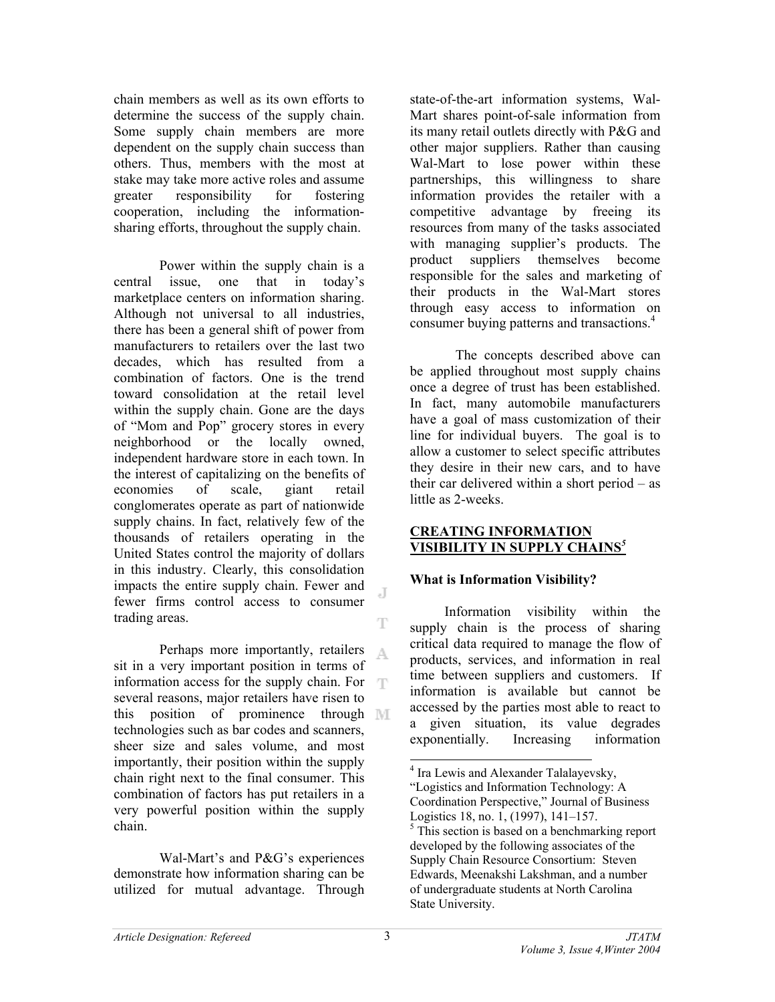chain members as well as its own efforts to determine the success of the supply chain. Some supply chain members are more dependent on the supply chain success than others. Thus, members with the most at stake may take more active roles and assume greater responsibility for fostering cooperation, including the informationsharing efforts, throughout the supply chain.

Power within the supply chain is a central issue, one that in today's marketplace centers on information sharing. Although not universal to all industries, there has been a general shift of power from manufacturers to retailers over the last two decades, which has resulted from a combination of factors. One is the trend toward consolidation at the retail level within the supply chain. Gone are the days of "Mom and Pop" grocery stores in every neighborhood or the locally owned, independent hardware store in each town. In the interest of capitalizing on the benefits of economies of scale, giant retail conglomerates operate as part of nationwide supply chains. In fact, relatively few of the thousands of retailers operating in the United States control the majority of dollars in this industry. Clearly, this consolidation impacts the entire supply chain. Fewer and fewer firms control access to consumer trading areas. Т

Perhaps more importantly, retailers A. sit in a very important position in terms of information access for the supply chain. For several reasons, major retailers have risen to this position of prominence through MI technologies such as bar codes and scanners, sheer size and sales volume, and most importantly, their position within the supply chain right next to the final consumer. This combination of factors has put retailers in a very powerful position within the supply chain.

Wal-Mart's and P&G's experiences demonstrate how information sharing can be utilized for mutual advantage. Through

state-of-the-art information systems, Wal-Mart shares point-of-sale information from its many retail outlets directly with P&G and other major suppliers. Rather than causing Wal-Mart to lose power within these partnerships, this willingness to share information provides the retailer with a competitive advantage by freeing its resources from many of the tasks associated with managing supplier's products. The product suppliers themselves become responsible for the sales and marketing of their products in the Wal-Mart stores through easy access to information on consumer buying patterns and transactions.<sup>4</sup>

The concepts described above can be applied throughout most supply chains once a degree of trust has been established. In fact, many automobile manufacturers have a goal of mass customization of their line for individual buyers. The goal is to allow a customer to select specific attributes they desire in their new cars, and to have their car delivered within a short period – as little as 2-weeks.

## **CREATING INFORMATION VISIBILITY IN SUPPLY CHAINS***<sup>5</sup>*

# **What is Information Visibility?**

Information visibility within the supply chain is the process of sharing critical data required to manage the flow of products, services, and information in real time between suppliers and customers. If information is available but cannot be accessed by the parties most able to react to a given situation, its value degrades exponentially. Increasing information

 $\overline{\phantom{a}}$ 

J

*Article Designation: Refereed JTATM* 

<sup>&</sup>lt;sup>4</sup> Ira Lewis and Alexander Talalayevsky, "Logistics and Information Technology: A Coordination Perspective," Journal of Business Logistics 18, no. 1, (1997), 141–157.

<sup>&</sup>lt;sup>5</sup> This section is based on a benchmarking report developed by the following associates of the Supply Chain Resource Consortium: Steven Edwards, Meenakshi Lakshman, and a number of undergraduate students at North Carolina State University.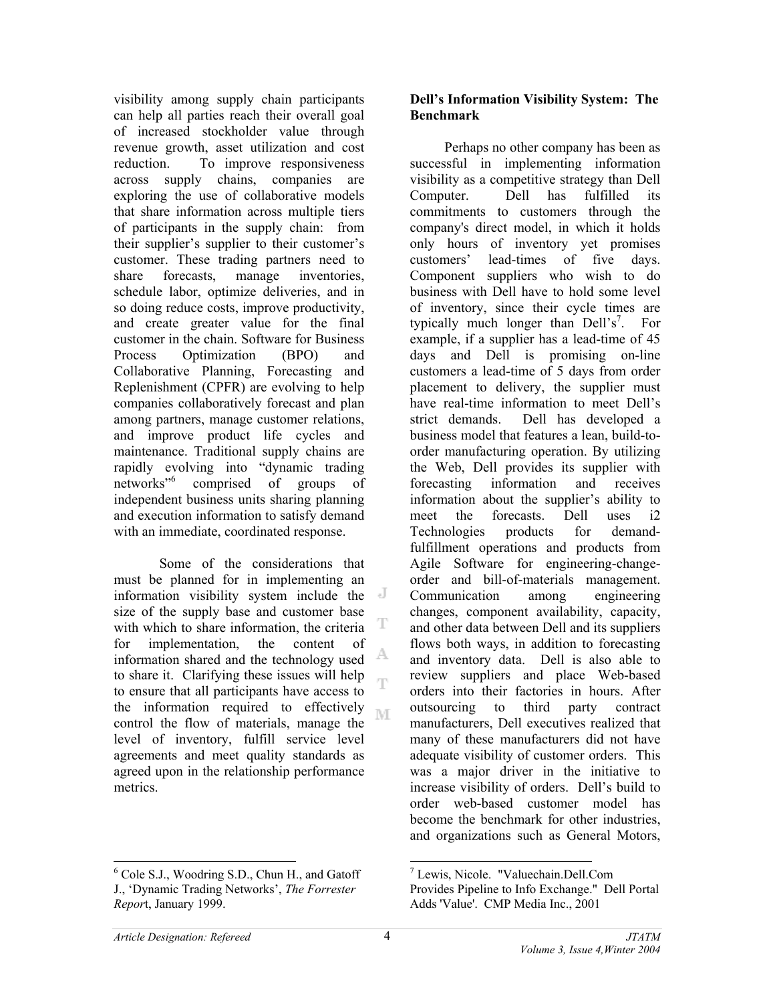visibility among supply chain participants can help all parties reach their overall goal of increased stockholder value through revenue growth, asset utilization and cost reduction. To improve responsiveness across supply chains, companies are exploring the use of collaborative models that share information across multiple tiers of participants in the supply chain: from their supplier's supplier to their customer's customer. These trading partners need to share forecasts, manage inventories, schedule labor, optimize deliveries, and in so doing reduce costs, improve productivity, and create greater value for the final customer in the chain. Software for Business Process Optimization (BPO) and Collaborative Planning, Forecasting and Replenishment (CPFR) are evolving to help companies collaboratively forecast and plan among partners, manage customer relations, and improve product life cycles and maintenance. Traditional supply chains are rapidly evolving into "dynamic trading networks"<sup>6</sup> comprised of groups of independent business units sharing planning and execution information to satisfy demand with an immediate, coordinated response.

Some of the considerations that must be planned for in implementing an information visibility system include the size of the supply base and customer base with which to share information, the criteria T for implementation, the content of A information shared and the technology used to share it. Clarifying these issues will help ηy to ensure that all participants have access to the information required to effectively M control the flow of materials, manage the level of inventory, fulfill service level agreements and meet quality standards as agreed upon in the relationship performance metrics.

#### 6 Cole S.J., Woodring S.D., Chun H., and Gatoff J., 'Dynamic Trading Networks', *The Forrester Repor*t, January 1999.

## **Dell's Information Visibility System: The Benchmark**

Perhaps no other company has been as successful in implementing information visibility as a competitive strategy than Dell Computer. Dell has fulfilled its commitments to customers through the company's direct model, in which it holds only hours of inventory yet promises customers' lead-times of five days. Component suppliers who wish to do business with Dell have to hold some level of inventory, since their cycle times are typically much longer than  $Dell's^7$ . For example, if a supplier has a lead-time of 45 days and Dell is promising on-line customers a lead-time of 5 days from order placement to delivery, the supplier must have real-time information to meet Dell's strict demands. Dell has developed a business model that features a lean, build-toorder manufacturing operation. By utilizing the Web, Dell provides its supplier with forecasting information and receives information about the supplier's ability to meet the forecasts. Dell uses i2 Technologies products for demandfulfillment operations and products from Agile Software for engineering-changeorder and bill-of-materials management. Communication among engineering changes, component availability, capacity, and other data between Dell and its suppliers flows both ways, in addition to forecasting and inventory data. Dell is also able to review suppliers and place Web-based orders into their factories in hours. After outsourcing to third party contract manufacturers, Dell executives realized that many of these manufacturers did not have adequate visibility of customer orders. This was a major driver in the initiative to increase visibility of orders. Dell's build to order web-based customer model has become the benchmark for other industries, and organizations such as General Motors,

l

 7 Lewis, Nicole. "Valuechain.Dell.Com Provides Pipeline to Info Exchange." Dell Portal Adds 'Value'. CMP Media Inc., 2001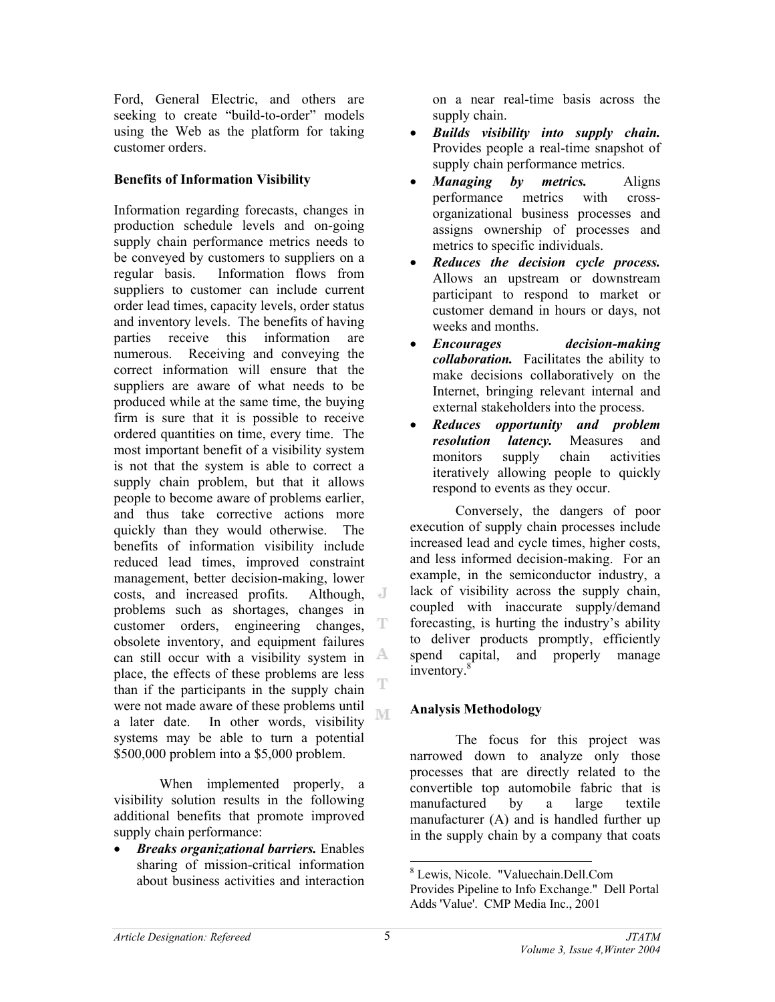Ford, General Electric, and others are seeking to create "build-to-order" models using the Web as the platform for taking customer orders.

## **Benefits of Information Visibility**

Information regarding forecasts, changes in production schedule levels and on-going supply chain performance metrics needs to be conveyed by customers to suppliers on a regular basis. Information flows from suppliers to customer can include current order lead times, capacity levels, order status and inventory levels. The benefits of having parties receive this information are numerous. Receiving and conveying the correct information will ensure that the suppliers are aware of what needs to be produced while at the same time, the buying firm is sure that it is possible to receive ordered quantities on time, every time. The most important benefit of a visibility system is not that the system is able to correct a supply chain problem, but that it allows people to become aware of problems earlier, and thus take corrective actions more quickly than they would otherwise. The benefits of information visibility include reduced lead times, improved constraint management, better decision-making, lower costs, and increased profits. Although, problems such as shortages, changes in customer orders, engineering changes, т obsolete inventory, and equipment failures can still occur with a visibility system in place, the effects of these problems are less Ľ than if the participants in the supply chain were not made aware of these problems until **NT** a later date. In other words, visibility systems may be able to turn a potential \$500,000 problem into a \$5,000 problem.

When implemented properly, a visibility solution results in the following additional benefits that promote improved supply chain performance:

• *Breaks organizational barriers.* Enables sharing of mission-critical information about business activities and interaction

on a near real-time basis across the supply chain.

- *Builds visibility into supply chain.* Provides people a real-time snapshot of supply chain performance metrics.
- *Managing by metrics.* Aligns performance metrics with crossorganizational business processes and assigns ownership of processes and metrics to specific individuals.
- *Reduces the decision cycle process.* Allows an upstream or downstream participant to respond to market or customer demand in hours or days, not weeks and months.
- *Encourages decision-making collaboration.* Facilitates the ability to make decisions collaboratively on the Internet, bringing relevant internal and external stakeholders into the process.
- *Reduces opportunity and problem resolution latency.* Measures and monitors supply chain activities iteratively allowing people to quickly respond to events as they occur.

Conversely, the dangers of poor execution of supply chain processes include increased lead and cycle times, higher costs, and less informed decision-making. For an example, in the semiconductor industry, a lack of visibility across the supply chain, coupled with inaccurate supply/demand forecasting, is hurting the industry's ability to deliver products promptly, efficiently spend capital, and properly manage inventory.<sup>8</sup>

# **Analysis Methodology**

The focus for this project was narrowed down to analyze only those processes that are directly related to the convertible top automobile fabric that is manufactured by a large textile manufacturer (A) and is handled further up in the supply chain by a company that coats

 8 Lewis, Nicole. "Valuechain.Dell.Com Provides Pipeline to Info Exchange." Dell Portal Adds 'Value'. CMP Media Inc., 2001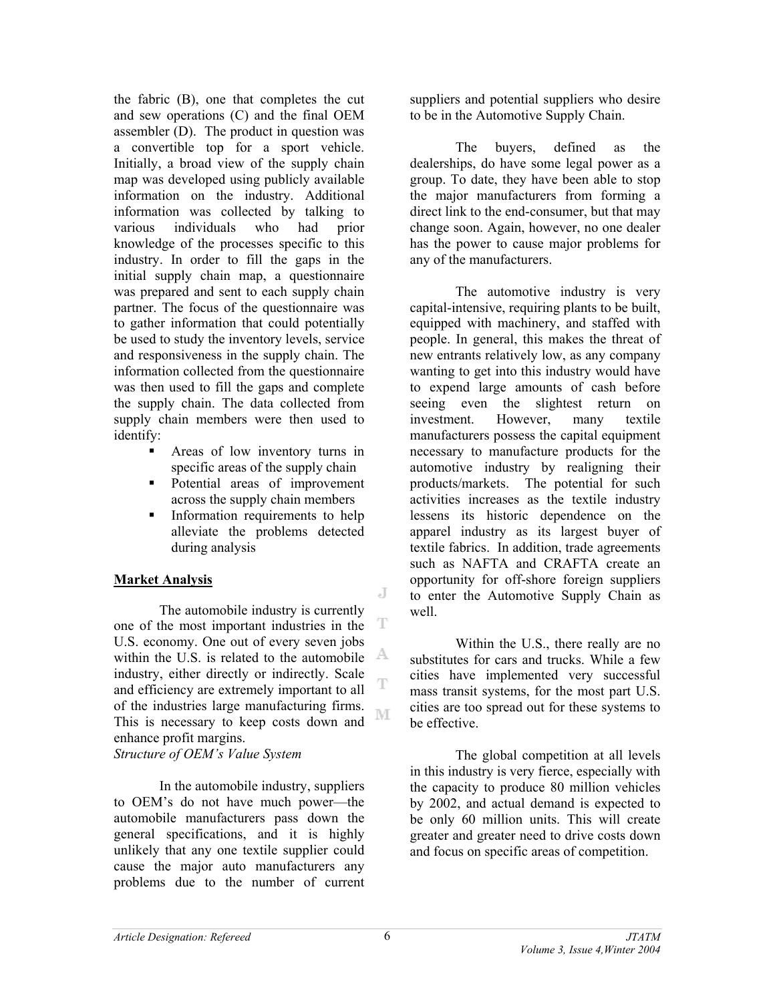the fabric (B), one that completes the cut and sew operations (C) and the final OEM assembler (D). The product in question was a convertible top for a sport vehicle. Initially, a broad view of the supply chain map was developed using publicly available information on the industry. Additional information was collected by talking to various individuals who had prior knowledge of the processes specific to this industry. In order to fill the gaps in the initial supply chain map, a questionnaire was prepared and sent to each supply chain partner. The focus of the questionnaire was to gather information that could potentially be used to study the inventory levels, service and responsiveness in the supply chain. The information collected from the questionnaire was then used to fill the gaps and complete the supply chain. The data collected from supply chain members were then used to identify:

- Areas of low inventory turns in specific areas of the supply chain
- Potential areas of improvement across the supply chain members
- Information requirements to help alleviate the problems detected during analysis

# **Market Analysis**

The automobile industry is currently one of the most important industries in the U.S. economy. One out of every seven jobs within the U.S. is related to the automobile industry, either directly or indirectly. Scale and efficiency are extremely important to all of the industries large manufacturing firms. NΓ This is necessary to keep costs down and enhance profit margins. *Structure of OEM's Value System* 

In the automobile industry, suppliers to OEM's do not have much power—the automobile manufacturers pass down the general specifications, and it is highly unlikely that any one textile supplier could cause the major auto manufacturers any problems due to the number of current suppliers and potential suppliers who desire to be in the Automotive Supply Chain.

The buyers, defined as the dealerships, do have some legal power as a group. To date, they have been able to stop the major manufacturers from forming a direct link to the end-consumer, but that may change soon. Again, however, no one dealer has the power to cause major problems for any of the manufacturers.

The automotive industry is very capital-intensive, requiring plants to be built, equipped with machinery, and staffed with people. In general, this makes the threat of new entrants relatively low, as any company wanting to get into this industry would have to expend large amounts of cash before seeing even the slightest return on investment. However, many textile manufacturers possess the capital equipment necessary to manufacture products for the automotive industry by realigning their products/markets. The potential for such activities increases as the textile industry lessens its historic dependence on the apparel industry as its largest buyer of textile fabrics. In addition, trade agreements such as NAFTA and CRAFTA create an opportunity for off-shore foreign suppliers to enter the Automotive Supply Chain as well.

Within the U.S., there really are no substitutes for cars and trucks. While a few cities have implemented very successful mass transit systems, for the most part U.S. cities are too spread out for these systems to be effective.

The global competition at all levels in this industry is very fierce, especially with the capacity to produce 80 million vehicles by 2002, and actual demand is expected to be only 60 million units. This will create greater and greater need to drive costs down and focus on specific areas of competition.

J

T

Ŧ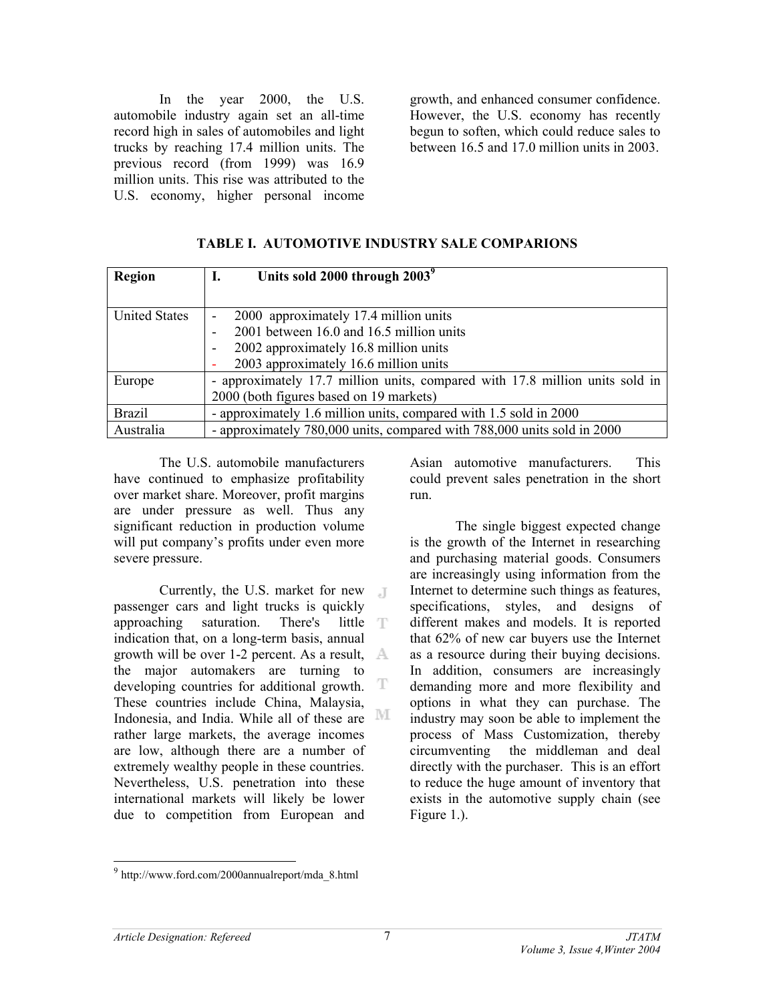In the year 2000, the U.S. automobile industry again set an all-time record high in sales of automobiles and light trucks by reaching 17.4 million units. The previous record (from 1999) was 16.9 million units. This rise was attributed to the U.S. economy, higher personal income

growth, and enhanced consumer confidence. However, the U.S. economy has recently begun to soften, which could reduce sales to between 16.5 and 17.0 million units in 2003.

|  | <b>TABLE I. AUTOMOTIVE INDUSTRY SALE COMPARIONS</b> |
|--|-----------------------------------------------------|
|--|-----------------------------------------------------|

| Region               | Units sold 2000 through 2003 <sup>9</sup><br>I.                              |  |
|----------------------|------------------------------------------------------------------------------|--|
| <b>United States</b> | 2000 approximately 17.4 million units                                        |  |
|                      | 2001 between 16.0 and 16.5 million units                                     |  |
|                      | 2002 approximately 16.8 million units                                        |  |
|                      | 2003 approximately 16.6 million units                                        |  |
| Europe               | - approximately 17.7 million units, compared with 17.8 million units sold in |  |
|                      | 2000 (both figures based on 19 markets)                                      |  |
| <b>Brazil</b>        | - approximately 1.6 million units, compared with 1.5 sold in 2000            |  |
| Australia            | - approximately 780,000 units, compared with 788,000 units sold in 2000      |  |

The U.S. automobile manufacturers have continued to emphasize profitability over market share. Moreover, profit margins are under pressure as well. Thus any significant reduction in production volume will put company's profits under even more severe pressure.

Currently, the U.S. market for new  $\blacksquare$ passenger cars and light trucks is quickly approaching saturation. There's little indication that, on a long-term basis, annual growth will be over 1-2 percent. As a result, the major automakers are turning to developing countries for additional growth.  $\mathbb T$ These countries include China, Malaysia, Indonesia, and India. While all of these are rather large markets, the average incomes are low, although there are a number of extremely wealthy people in these countries. Nevertheless, U.S. penetration into these international markets will likely be lower due to competition from European and

Asian automotive manufacturers. This could prevent sales penetration in the short run.

The single biggest expected change is the growth of the Internet in researching and purchasing material goods. Consumers are increasingly using information from the Internet to determine such things as features, specifications, styles, and designs of different makes and models. It is reported that 62% of new car buyers use the Internet as a resource during their buying decisions. In addition, consumers are increasingly demanding more and more flexibility and options in what they can purchase. The industry may soon be able to implement the process of Mass Customization, thereby circumventing the middleman and deal directly with the purchaser. This is an effort to reduce the huge amount of inventory that exists in the automotive supply chain (see Figure 1.).

l

<sup>&</sup>lt;sup>9</sup> http://www.ford.com/2000annualreport/mda\_8.html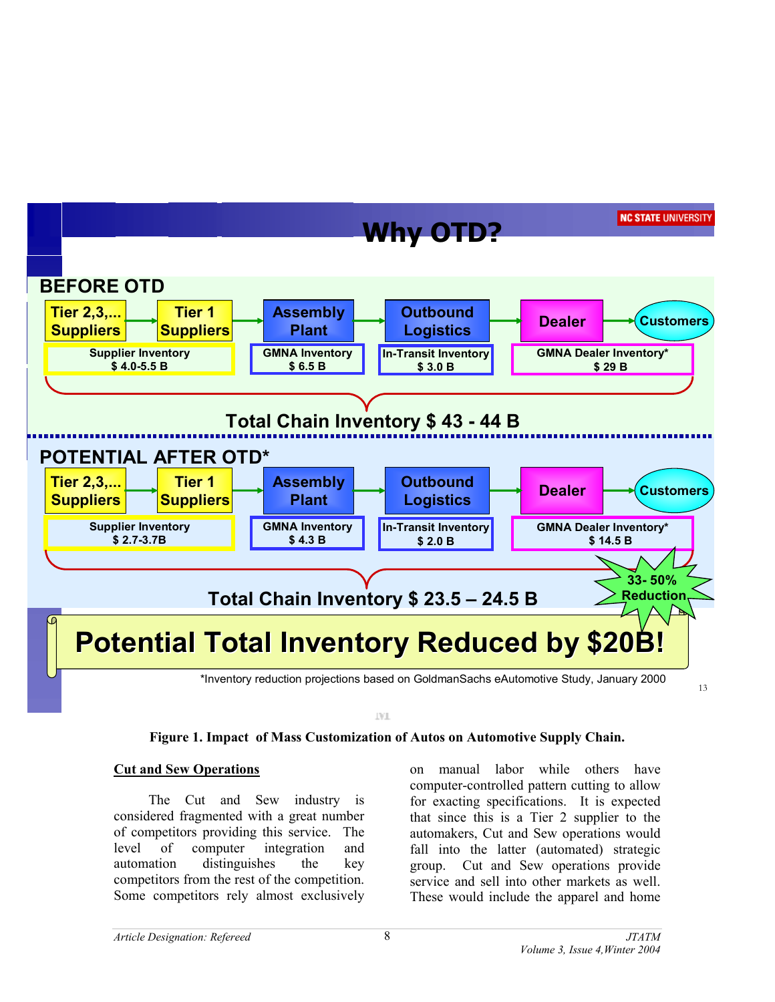

DO.

## **Figure 1. Impact of Mass Customization of Autos on Automotive Supply Chain.**

## **Cut and Sew Operations**

The Cut and Sew industry is considered fragmented with a great number of competitors providing this service. The level of computer integration and automation distinguishes the key competitors from the rest of the competition. Some competitors rely almost exclusively

on manual labor while others have computer-controlled pattern cutting to allow for exacting specifications. It is expected that since this is a Tier 2 supplier to the automakers, Cut and Sew operations would fall into the latter (automated) strategic group. Cut and Sew operations provide service and sell into other markets as well. These would include the apparel and home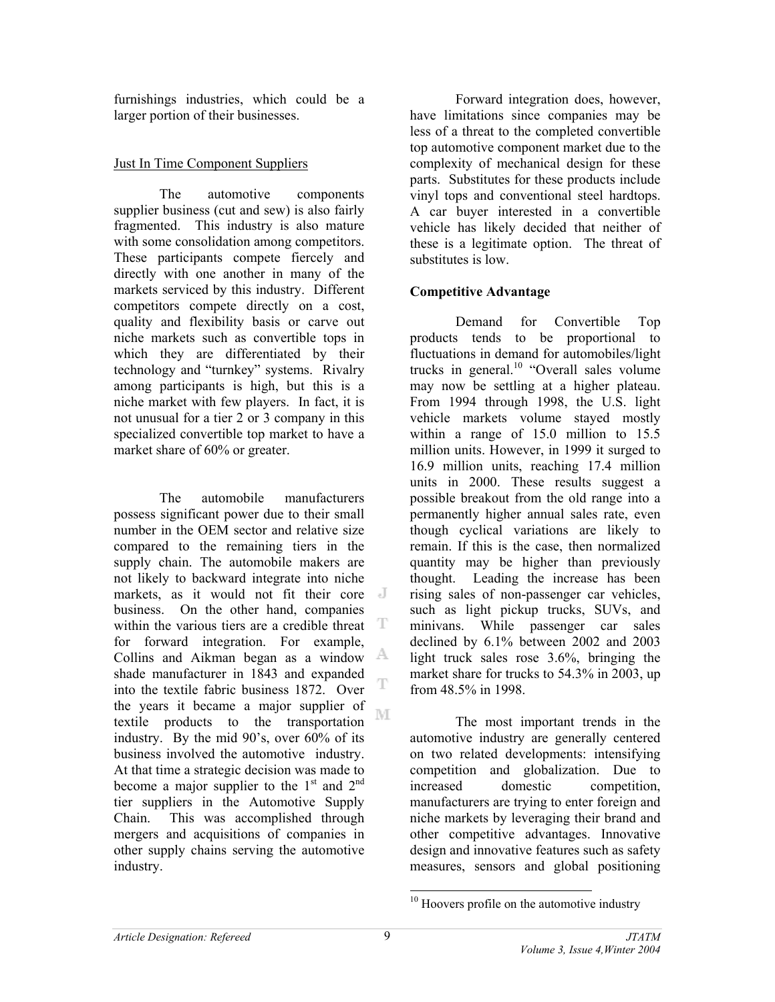furnishings industries, which could be a larger portion of their businesses.

# Just In Time Component Suppliers

The automotive components supplier business (cut and sew) is also fairly fragmented. This industry is also mature with some consolidation among competitors. These participants compete fiercely and directly with one another in many of the markets serviced by this industry. Different competitors compete directly on a cost, quality and flexibility basis or carve out niche markets such as convertible tops in which they are differentiated by their technology and "turnkey" systems. Rivalry among participants is high, but this is a niche market with few players. In fact, it is not unusual for a tier 2 or 3 company in this specialized convertible top market to have a market share of 60% or greater.

The automobile manufacturers possess significant power due to their small number in the OEM sector and relative size compared to the remaining tiers in the supply chain. The automobile makers are not likely to backward integrate into niche markets, as it would not fit their core business. On the other hand, companies within the various tiers are a credible threat т for forward integration. For example, Collins and Aikman began as a window shade manufacturer in 1843 and expanded into the textile fabric business 1872. Over the years it became a major supplier of M textile products to the transportation industry. By the mid 90's, over 60% of its business involved the automotive industry. At that time a strategic decision was made to become a major supplier to the  $1<sup>st</sup>$  and  $2<sup>nd</sup>$ tier suppliers in the Automotive Supply Chain. This was accomplished through mergers and acquisitions of companies in other supply chains serving the automotive industry.

Forward integration does, however, have limitations since companies may be less of a threat to the completed convertible top automotive component market due to the complexity of mechanical design for these parts. Substitutes for these products include vinyl tops and conventional steel hardtops. A car buyer interested in a convertible vehicle has likely decided that neither of these is a legitimate option. The threat of substitutes is low.

# **Competitive Advantage**

Demand for Convertible Top products tends to be proportional to fluctuations in demand for automobiles/light trucks in general. $10$  "Overall sales volume may now be settling at a higher plateau. From 1994 through 1998, the U.S. light vehicle markets volume stayed mostly within a range of 15.0 million to 15.5 million units. However, in 1999 it surged to 16.9 million units, reaching 17.4 million units in 2000. These results suggest a possible breakout from the old range into a permanently higher annual sales rate, even though cyclical variations are likely to remain. If this is the case, then normalized quantity may be higher than previously thought. Leading the increase has been rising sales of non-passenger car vehicles, such as light pickup trucks, SUVs, and minivans. While passenger car sales declined by 6.1% between 2002 and 2003 light truck sales rose 3.6%, bringing the market share for trucks to 54.3% in 2003, up from 48.5% in 1998.

The most important trends in the automotive industry are generally centered on two related developments: intensifying competition and globalization. Due to increased domestic competition, manufacturers are trying to enter foreign and niche markets by leveraging their brand and other competitive advantages. Innovative design and innovative features such as safety measures, sensors and global positioning

 $\overline{\phantom{a}}$  $10$  Hoovers profile on the automotive industry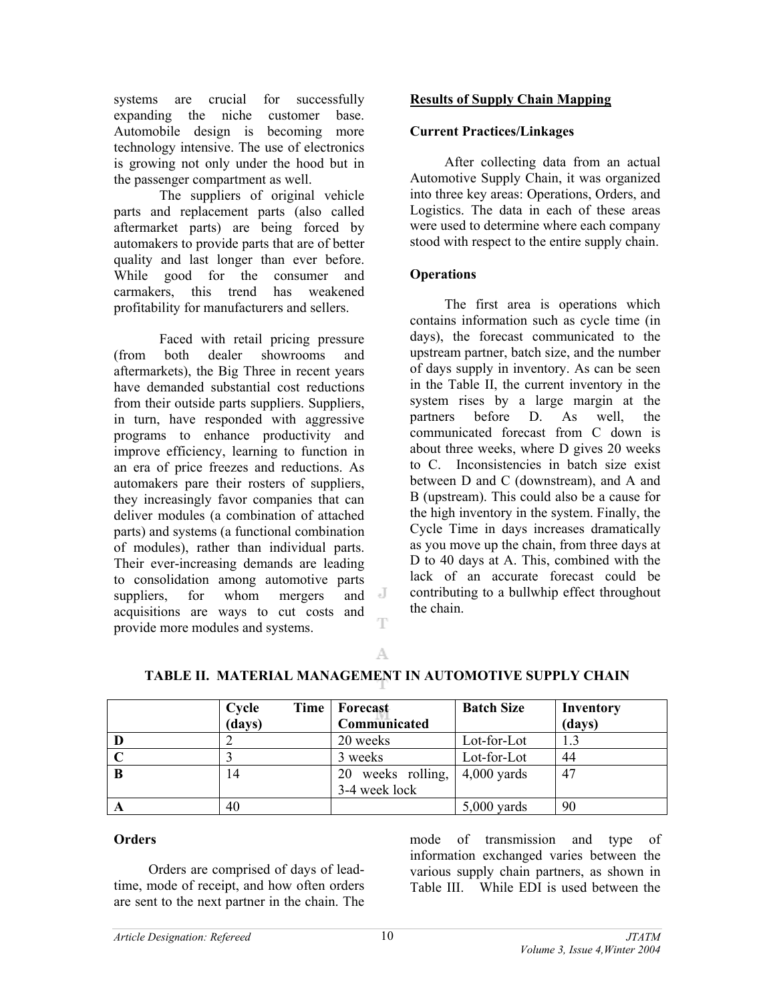systems are crucial for successfully expanding the niche customer base. Automobile design is becoming more technology intensive. The use of electronics is growing not only under the hood but in the passenger compartment as well.

The suppliers of original vehicle parts and replacement parts (also called aftermarket parts) are being forced by automakers to provide parts that are of better quality and last longer than ever before. While good for the consumer and carmakers, this trend has weakened profitability for manufacturers and sellers.

Faced with retail pricing pressure (from both dealer showrooms and aftermarkets), the Big Three in recent years have demanded substantial cost reductions from their outside parts suppliers. Suppliers, in turn, have responded with aggressive programs to enhance productivity and improve efficiency, learning to function in an era of price freezes and reductions. As automakers pare their rosters of suppliers, they increasingly favor companies that can deliver modules (a combination of attached parts) and systems (a functional combination of modules), rather than individual parts. Their ever-increasing demands are leading to consolidation among automotive parts  $\overline{a}$ suppliers, for whom mergers and acquisitions are ways to cut costs and provide more modules and systems.

# **Results of Supply Chain Mapping**

## **Current Practices/Linkages**

 After collecting data from an actual Automotive Supply Chain, it was organized into three key areas: Operations, Orders, and Logistics. The data in each of these areas were used to determine where each company stood with respect to the entire supply chain.

# **Operations**

 The first area is operations which contains information such as cycle time (in days), the forecast communicated to the upstream partner, batch size, and the number of days supply in inventory. As can be seen in the Table II, the current inventory in the system rises by a large margin at the partners before D. As well, the communicated forecast from C down is about three weeks, where D gives 20 weeks to C. Inconsistencies in batch size exist between D and C (downstream), and A and B (upstream). This could also be a cause for the high inventory in the system. Finally, the Cycle Time in days increases dramatically as you move up the chain, from three days at D to 40 days at A. This, combined with the lack of an accurate forecast could be contributing to a bullwhip effect throughout the chain.

A

|   | Time  <br>Cycle<br>(days) | Forecast<br>Communicated              | <b>Batch Size</b> | Inventory<br>(days) |
|---|---------------------------|---------------------------------------|-------------------|---------------------|
|   |                           | 20 weeks                              | Lot-for-Lot       |                     |
|   |                           | 3 weeks                               | Lot-for-Lot       | 44                  |
| B | 14                        | weeks rolling,<br>20<br>3-4 week lock | $4,000$ yards     | 47                  |
| A | 40                        |                                       | $5,000$ yards     | 90                  |

# **TABLE II. MATERIAL MANAGEMENT IN AUTOMOTIVE SUPPLY CHAIN**

## **Orders**

 Orders are comprised of days of leadtime, mode of receipt, and how often orders are sent to the next partner in the chain. The

mode of transmission and type of information exchanged varies between the various supply chain partners, as shown in Table III. While EDI is used between the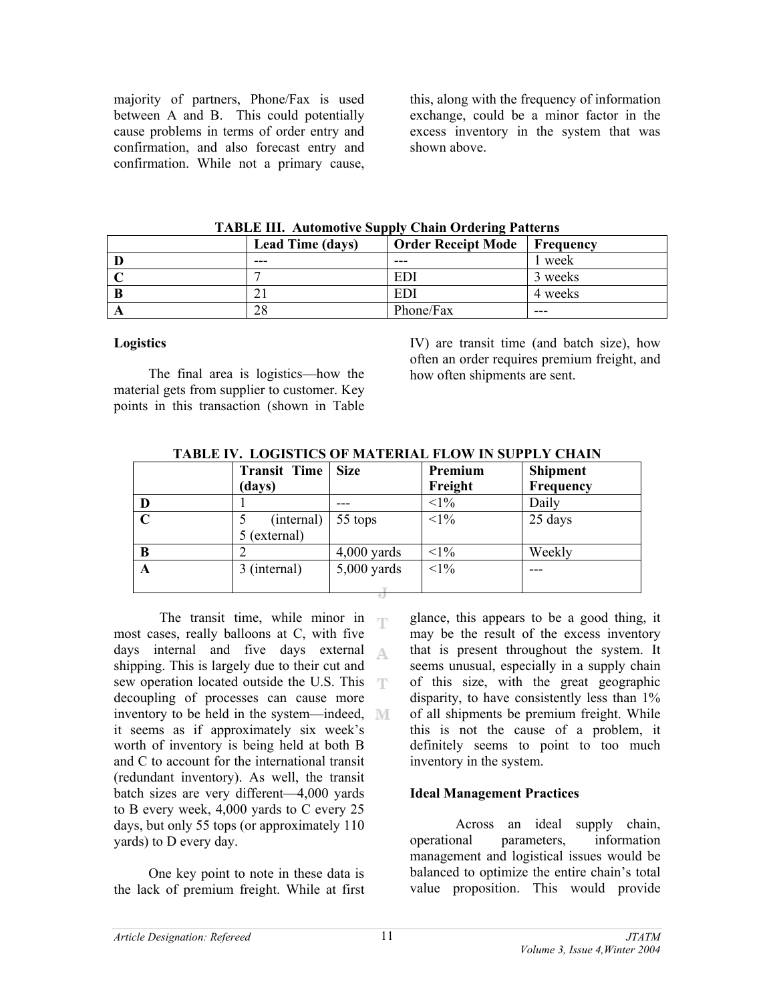majority of partners, Phone/Fax is used between A and B. This could potentially cause problems in terms of order entry and confirmation, and also forecast entry and confirmation. While not a primary cause,

this, along with the frequency of information exchange, could be a minor factor in the excess inventory in the system that was shown above.

| <b>Lead Time (days)</b> | <b>Order Receipt Mode</b>   Frequency |         |
|-------------------------|---------------------------------------|---------|
| ---                     | $- - -$                               | l week  |
|                         |                                       | 3 weeks |
|                         | ED                                    | 4 weeks |
| 28                      | Phone/Fax                             | ---     |

**TABLE III. Automotive Supply Chain Ordering Patterns** 

## **Logistics**

 The final area is logistics—how the material gets from supplier to customer. Key points in this transaction (shown in Table IV) are transit time (and batch size), how often an order requires premium freight, and how often shipments are sent.

|             | <b>Transit Time</b>        | <b>Size</b>   | Premium | Shipment  |
|-------------|----------------------------|---------------|---------|-----------|
|             | (days)                     |               | Freight | Frequency |
|             |                            |               | $<1\%$  | Daily     |
| $\mathbf C$ | (internal)<br>5 (external) | 55 tops       | $<1\%$  | 25 days   |
| B           |                            | $4,000$ yards | $<1\%$  | Weekly    |
| A           | 3 (internal)               | $5,000$ yards | $<1\%$  |           |

**TABLE IV. LOGISTICS OF MATERIAL FLOW IN SUPPLY CHAIN**

The transit time, while minor in most cases, really balloons at C, with five days internal and five days external  $\mathbb{A}$ shipping. This is largely due to their cut and sew operation located outside the U.S. This decoupling of processes can cause more inventory to be held in the system—indeed, MI it seems as if approximately six week's worth of inventory is being held at both B and C to account for the international transit (redundant inventory). As well, the transit batch sizes are very different—4,000 yards to B every week, 4,000 yards to C every 25 days, but only 55 tops (or approximately 110 yards) to D every day.

 One key point to note in these data is the lack of premium freight. While at first glance, this appears to be a good thing, it may be the result of the excess inventory that is present throughout the system. It seems unusual, especially in a supply chain of this size, with the great geographic disparity, to have consistently less than 1% of all shipments be premium freight. While this is not the cause of a problem, it definitely seems to point to too much inventory in the system.

# **Ideal Management Practices**

Across an ideal supply chain, operational parameters, information management and logistical issues would be balanced to optimize the entire chain's total value proposition. This would provide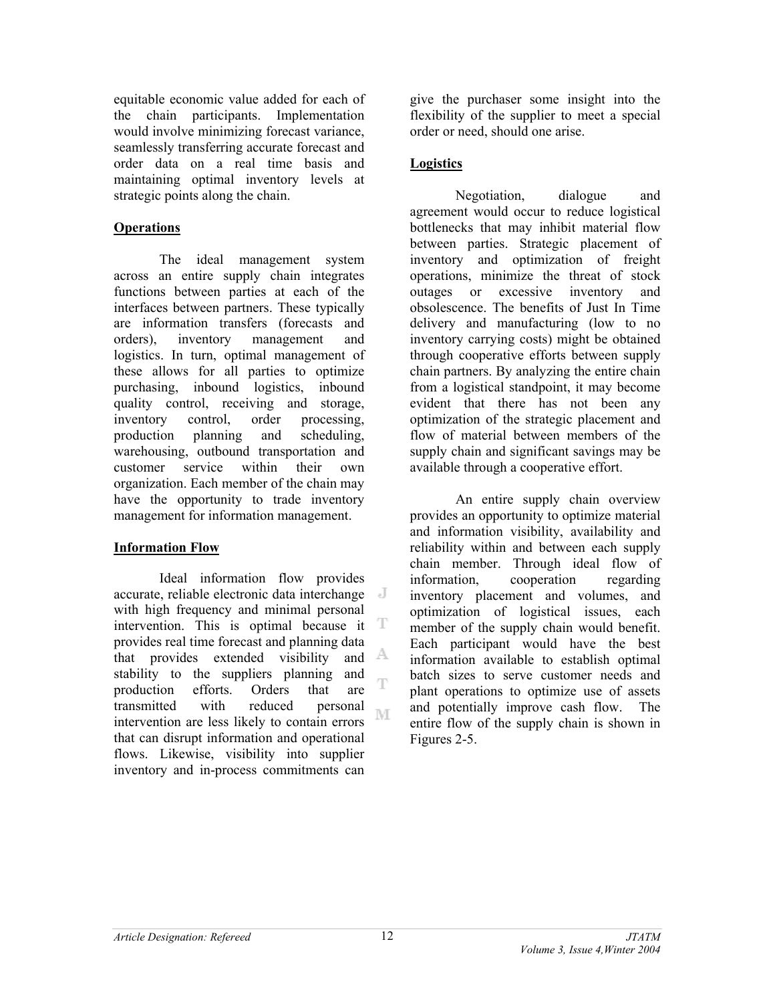equitable economic value added for each of the chain participants. Implementation would involve minimizing forecast variance, seamlessly transferring accurate forecast and order data on a real time basis and maintaining optimal inventory levels at strategic points along the chain.

# **Operations**

The ideal management system across an entire supply chain integrates functions between parties at each of the interfaces between partners. These typically are information transfers (forecasts and orders), inventory management and logistics. In turn, optimal management of these allows for all parties to optimize purchasing, inbound logistics, inbound quality control, receiving and storage, inventory control, order processing, production planning and scheduling, warehousing, outbound transportation and customer service within their own organization. Each member of the chain may have the opportunity to trade inventory management for information management.

# **Information Flow**

Ideal information flow provides accurate, reliable electronic data interchange with high frequency and minimal personal intervention. This is optimal because it  $T$ provides real time forecast and planning data A that provides extended visibility and stability to the suppliers planning and T production efforts. Orders that are transmitted with reduced personal M intervention are less likely to contain errors that can disrupt information and operational flows. Likewise, visibility into supplier inventory and in-process commitments can

give the purchaser some insight into the flexibility of the supplier to meet a special order or need, should one arise.

# **Logistics**

Negotiation, dialogue and agreement would occur to reduce logistical bottlenecks that may inhibit material flow between parties. Strategic placement of inventory and optimization of freight operations, minimize the threat of stock outages or excessive inventory and obsolescence. The benefits of Just In Time delivery and manufacturing (low to no inventory carrying costs) might be obtained through cooperative efforts between supply chain partners. By analyzing the entire chain from a logistical standpoint, it may become evident that there has not been any optimization of the strategic placement and flow of material between members of the supply chain and significant savings may be available through a cooperative effort.

An entire supply chain overview provides an opportunity to optimize material and information visibility, availability and reliability within and between each supply chain member. Through ideal flow of information, cooperation regarding inventory placement and volumes, and optimization of logistical issues, each member of the supply chain would benefit. Each participant would have the best information available to establish optimal batch sizes to serve customer needs and plant operations to optimize use of assets and potentially improve cash flow. The entire flow of the supply chain is shown in Figures 2-5.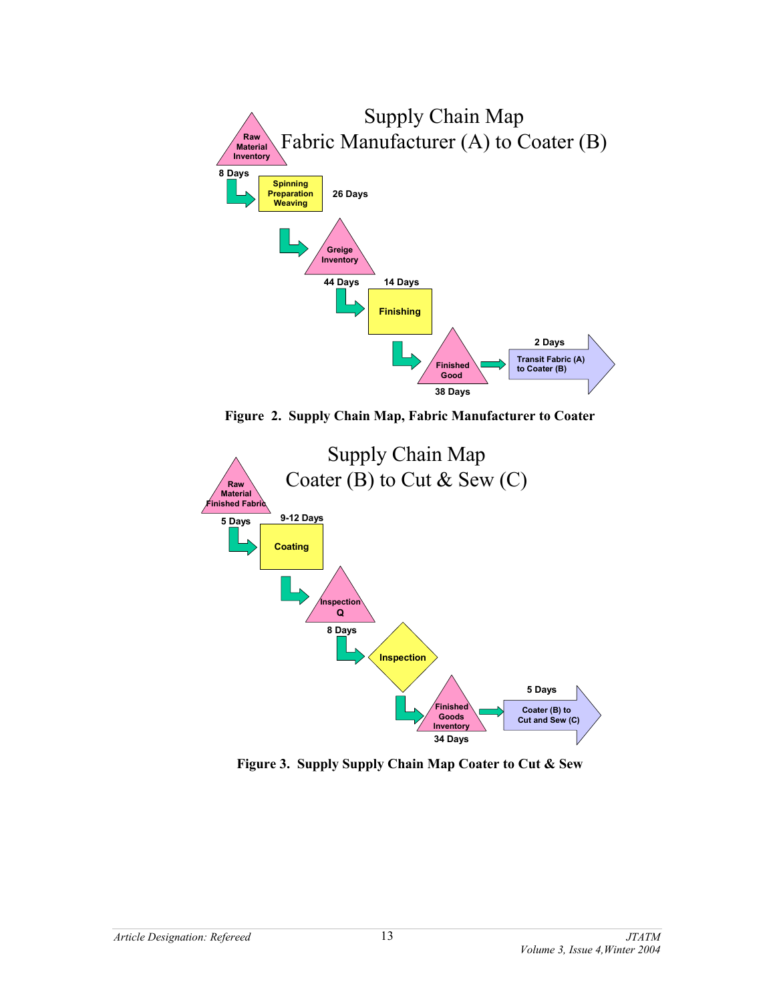

**Figure 2. Supply Chain Map, Fabric Manufacturer to Coater** 



**Figure 3. Supply Supply Chain Map Coater to Cut & Sew**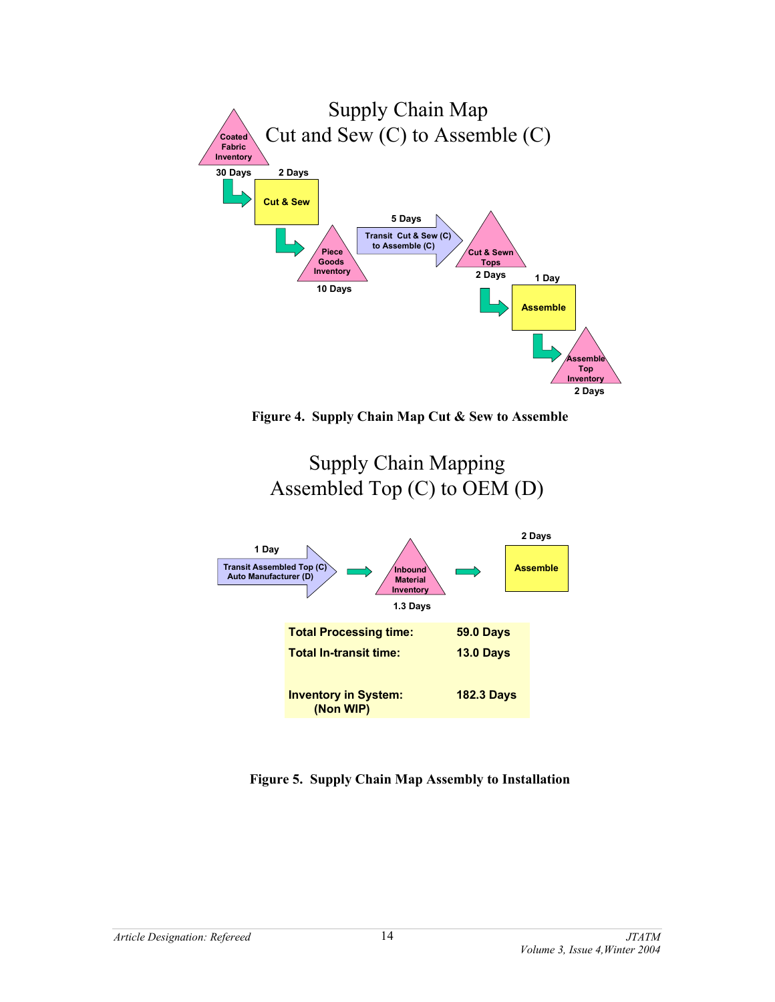

**Figure 4. Supply Chain Map Cut & Sew to Assemble** 

Supply Chain Mapping Assembled Top (C) to OEM (D)



**Figure 5. Supply Chain Map Assembly to Installation**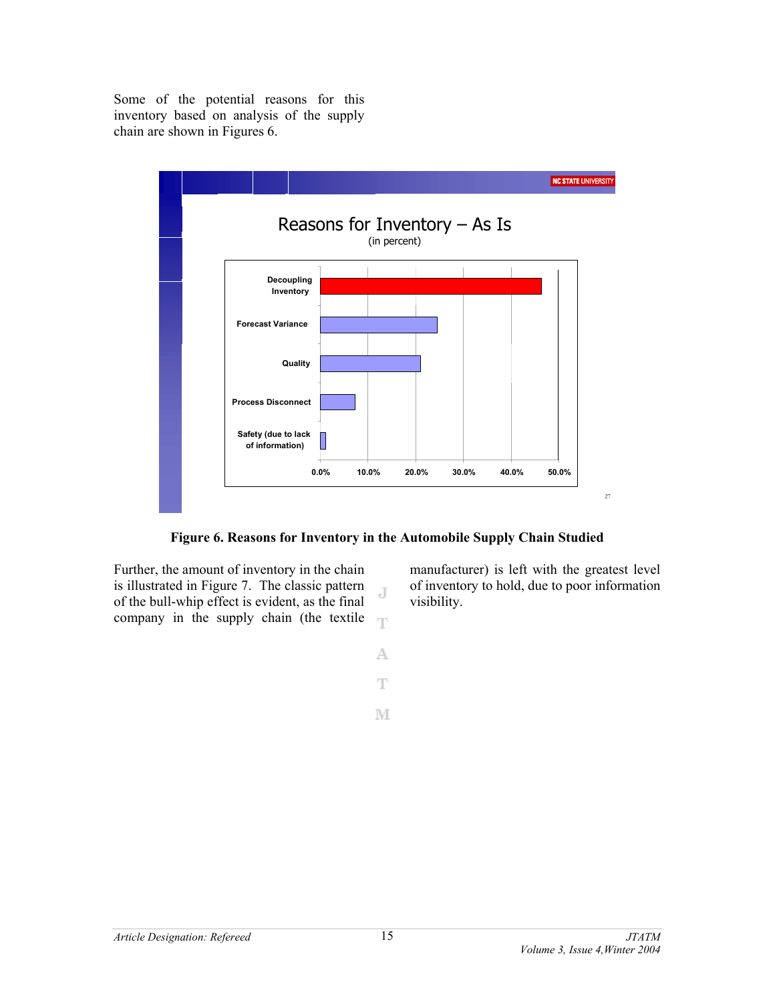Some of the potential reasons for this inventory based on analysis of the supply chain are shown in Figures 6.



**Figure 6. Reasons for Inventory in the Automobile Supply Chain Studied** 

J

Further, the amount of inventory in the chain is illustrated in Figure 7. The classic pattern of the bull-whip effect is evident, as the final company in the supply chain (the textile  $\mathcal{F}^{\text{max}}_{\text{max}}$ 

manufacturer) is left with the greatest level of inventory to hold, due to poor information visibility.

A  $\mathbb T$ 

M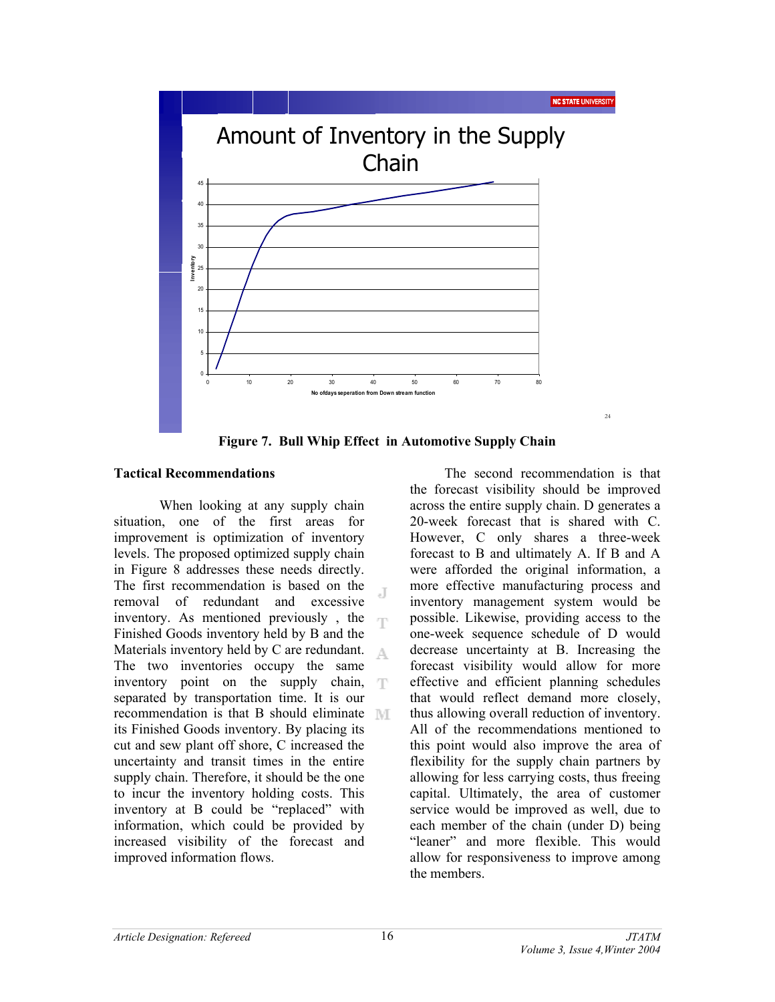

**Figure 7. Bull Whip Effect in Automotive Supply Chain** 

# **Tactical Recommendations**

When looking at any supply chain situation, one of the first areas for improvement is optimization of inventory levels. The proposed optimized supply chain in Figure 8 addresses these needs directly. The first recommendation is based on the J removal of redundant and excessive inventory. As mentioned previously, the Finished Goods inventory held by B and the Materials inventory held by C are redundant. A The two inventories occupy the same inventory point on the supply chain,  $\top$ separated by transportation time. It is our recommendation is that B should eliminate its Finished Goods inventory. By placing its cut and sew plant off shore, C increased the uncertainty and transit times in the entire supply chain. Therefore, it should be the one to incur the inventory holding costs. This inventory at B could be "replaced" with information, which could be provided by increased visibility of the forecast and improved information flows.

 The second recommendation is that the forecast visibility should be improved across the entire supply chain. D generates a 20-week forecast that is shared with C. However, C only shares a three-week forecast to B and ultimately A. If B and A were afforded the original information, a more effective manufacturing process and inventory management system would be possible. Likewise, providing access to the one-week sequence schedule of D would decrease uncertainty at B. Increasing the forecast visibility would allow for more effective and efficient planning schedules that would reflect demand more closely, thus allowing overall reduction of inventory. All of the recommendations mentioned to this point would also improve the area of flexibility for the supply chain partners by allowing for less carrying costs, thus freeing capital. Ultimately, the area of customer service would be improved as well, due to each member of the chain (under D) being "leaner" and more flexible. This would allow for responsiveness to improve among the members.

 $24$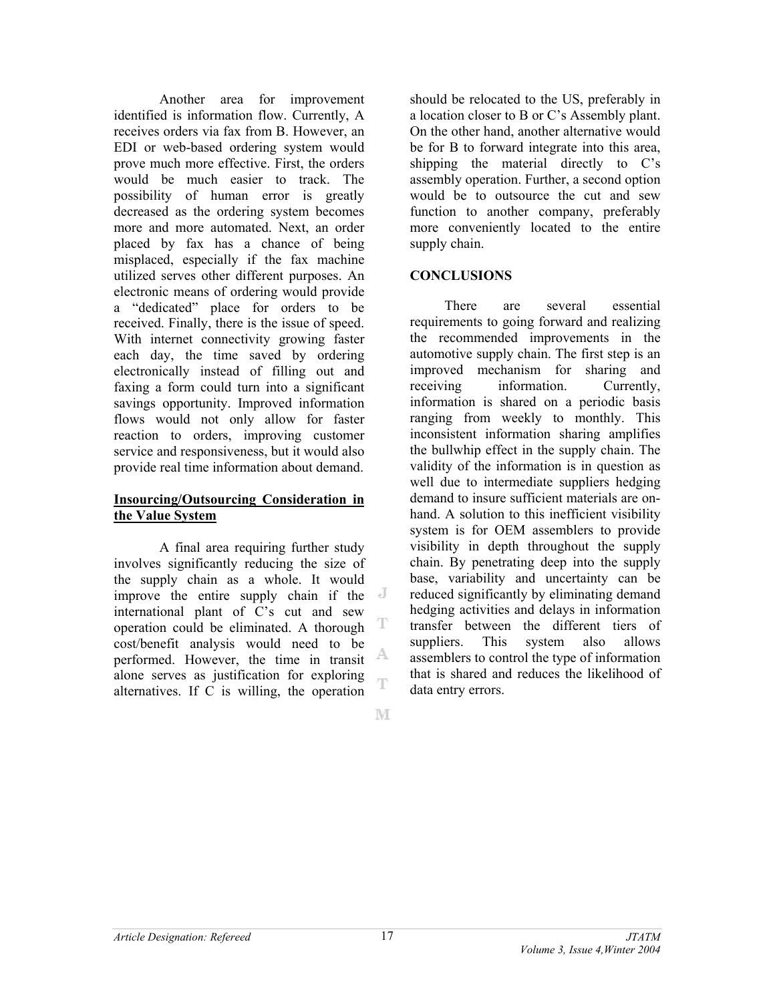Another area for improvement identified is information flow. Currently, A receives orders via fax from B. However, an EDI or web-based ordering system would prove much more effective. First, the orders would be much easier to track. The possibility of human error is greatly decreased as the ordering system becomes more and more automated. Next, an order placed by fax has a chance of being misplaced, especially if the fax machine utilized serves other different purposes. An electronic means of ordering would provide a "dedicated" place for orders to be received. Finally, there is the issue of speed. With internet connectivity growing faster each day, the time saved by ordering electronically instead of filling out and faxing a form could turn into a significant savings opportunity. Improved information flows would not only allow for faster reaction to orders, improving customer service and responsiveness, but it would also provide real time information about demand.

## **Insourcing/Outsourcing Consideration in the Value System**

A final area requiring further study involves significantly reducing the size of the supply chain as a whole. It would improve the entire supply chain if the international plant of C's cut and sew T operation could be eliminated. A thorough cost/benefit analysis would need to be A performed. However, the time in transit alone serves as justification for exploring alternatives. If C is willing, the operation

should be relocated to the US, preferably in a location closer to B or C's Assembly plant. On the other hand, another alternative would be for B to forward integrate into this area, shipping the material directly to C's assembly operation. Further, a second option would be to outsource the cut and sew function to another company, preferably more conveniently located to the entire supply chain.

# **CONCLUSIONS**

 There are several essential requirements to going forward and realizing the recommended improvements in the automotive supply chain. The first step is an improved mechanism for sharing and receiving information. Currently, information is shared on a periodic basis ranging from weekly to monthly. This inconsistent information sharing amplifies the bullwhip effect in the supply chain. The validity of the information is in question as well due to intermediate suppliers hedging demand to insure sufficient materials are onhand. A solution to this inefficient visibility system is for OEM assemblers to provide visibility in depth throughout the supply chain. By penetrating deep into the supply base, variability and uncertainty can be reduced significantly by eliminating demand hedging activities and delays in information transfer between the different tiers of suppliers. This system also allows assemblers to control the type of information that is shared and reduces the likelihood of data entry errors.

M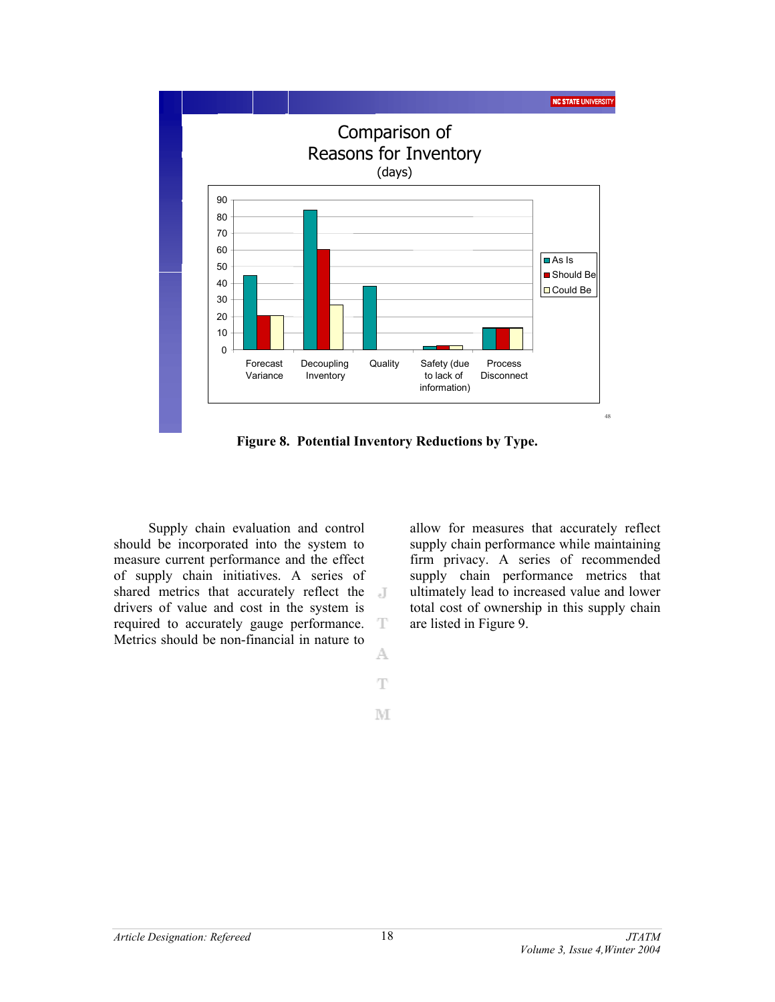

**Figure 8. Potential Inventory Reductions by Type.** 

 $\mathbb T$ 

M

Supply chain evaluation and control should be incorporated into the system to measure current performance and the effect of supply chain initiatives. A series of shared metrics that accurately reflect the drivers of value and cost in the system is required to accurately gauge performance. T Metrics should be non-financial in nature to A allow for measures that accurately reflect supply chain performance while maintaining firm privacy. A series of recommended supply chain performance metrics that ultimately lead to increased value and lower total cost of ownership in this supply chain are listed in Figure 9.